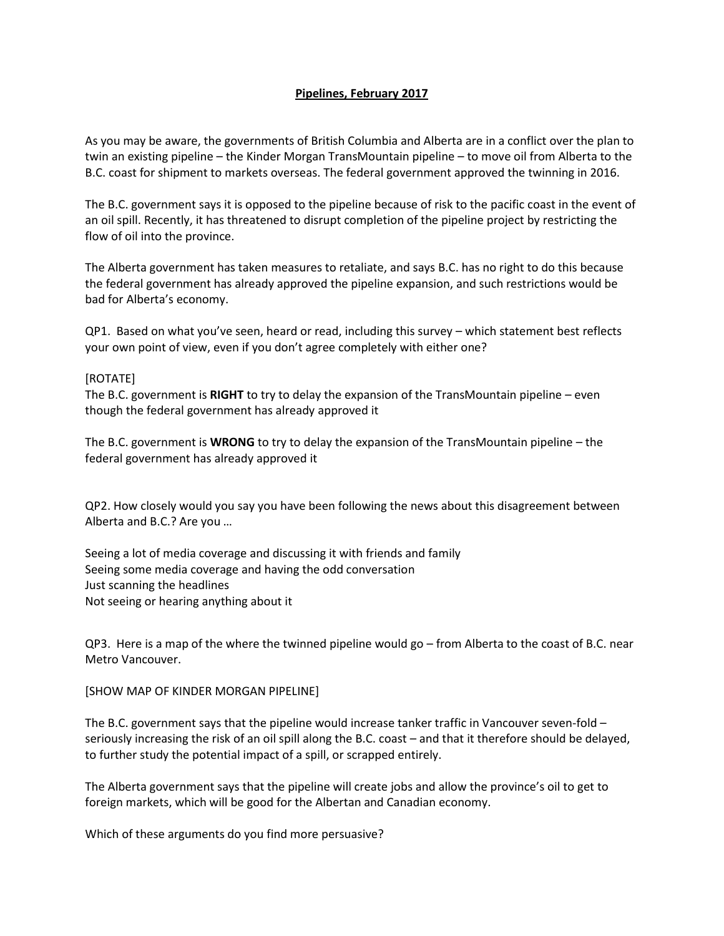## **Pipelines, February 2017**

As you may be aware, the governments of British Columbia and Alberta are in a conflict over the plan to twin an existing pipeline – the Kinder Morgan TransMountain pipeline – to move oil from Alberta to the B.C. coast for shipment to markets overseas. The federal government approved the twinning in 2016.

The B.C. government says it is opposed to the pipeline because of risk to the pacific coast in the event of an oil spill. Recently, it has threatened to disrupt completion of the pipeline project by restricting the flow of oil into the province.

The Alberta government has taken measures to retaliate, and says B.C. has no right to do this because the federal government has already approved the pipeline expansion, and such restrictions would be bad for Alberta's economy.

QP1. Based on what you've seen, heard or read, including this survey – which statement best reflects your own point of view, even if you don't agree completely with either one?

## [ROTATE]

The B.C. government is **RIGHT** to try to delay the expansion of the TransMountain pipeline – even though the federal government has already approved it

The B.C. government is **WRONG** to try to delay the expansion of the TransMountain pipeline – the federal government has already approved it

QP2. How closely would you say you have been following the news about this disagreement between Alberta and B.C.? Are you …

Seeing a lot of media coverage and discussing it with friends and family Seeing some media coverage and having the odd conversation Just scanning the headlines Not seeing or hearing anything about it

QP3. Here is a map of the where the twinned pipeline would go – from Alberta to the coast of B.C. near Metro Vancouver.

## [SHOW MAP OF KINDER MORGAN PIPELINE]

The B.C. government says that the pipeline would increase tanker traffic in Vancouver seven-fold – seriously increasing the risk of an oil spill along the B.C. coast – and that it therefore should be delayed, to further study the potential impact of a spill, or scrapped entirely.

The Alberta government says that the pipeline will create jobs and allow the province's oil to get to foreign markets, which will be good for the Albertan and Canadian economy.

Which of these arguments do you find more persuasive?